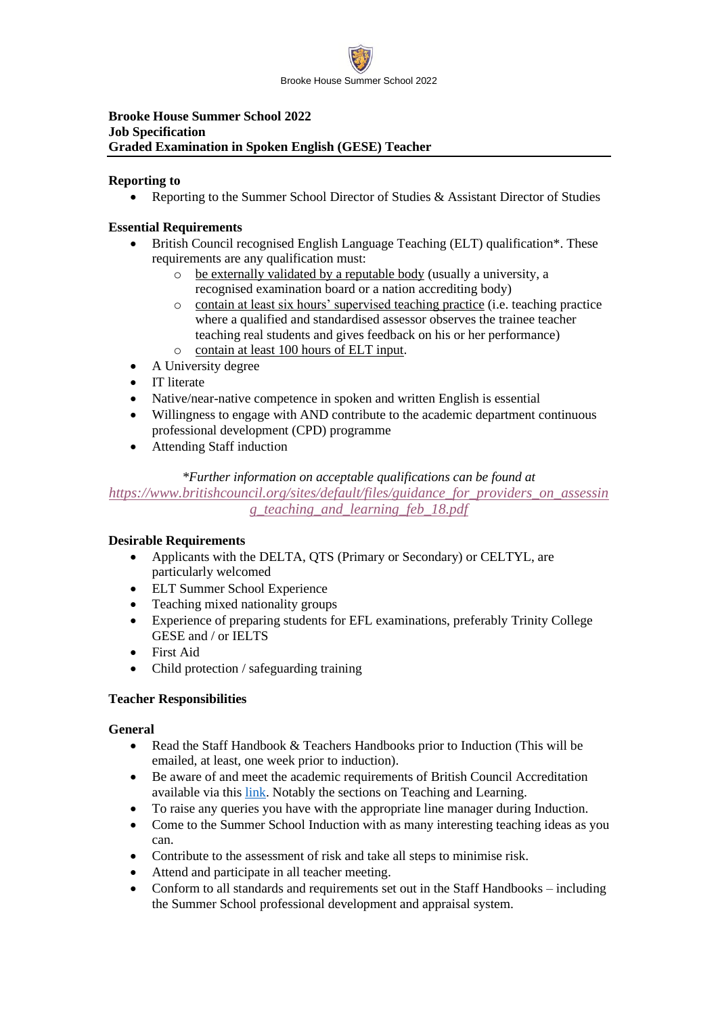

## **Brooke House Summer School 2022 Job Specification Graded Examination in Spoken English (GESE) Teacher**

## **Reporting to**

• Reporting to the Summer School Director of Studies & Assistant Director of Studies

## **Essential Requirements**

- British Council recognised English Language Teaching (ELT) qualification\*. These requirements are any qualification must:
	- o be externally validated by a reputable body (usually a university, a recognised examination board or a nation accrediting body)
	- o contain at least six hours' supervised teaching practice (i.e. teaching practice where a qualified and standardised assessor observes the trainee teacher teaching real students and gives feedback on his or her performance)
	- o contain at least 100 hours of ELT input.
- A University degree
- IT literate
- Native/near-native competence in spoken and written English is essential
- Willingness to engage with AND contribute to the academic department continuous professional development (CPD) programme
- Attending Staff induction

## *\*Further information on acceptable qualifications can be found at*

*[https://www.britishcouncil.org/sites/default/files/guidance\\_for\\_providers\\_on\\_assessin](https://www.britishcouncil.org/sites/default/files/guidance_for_providers_on_assessing_teaching_and_learning_feb_18.pdf) [g\\_teaching\\_and\\_learning\\_feb\\_18.pdf](https://www.britishcouncil.org/sites/default/files/guidance_for_providers_on_assessing_teaching_and_learning_feb_18.pdf)*

# **Desirable Requirements**

- Applicants with the DELTA, QTS (Primary or Secondary) or CELTYL, are particularly welcomed
- ELT Summer School Experience
- Teaching mixed nationality groups
- Experience of preparing students for EFL examinations, preferably Trinity College GESE and / or IELTS
- First Aid
- Child protection / safeguarding training

## **Teacher Responsibilities**

#### **General**

- Read the Staff Handbook & Teachers Handbooks prior to Induction (This will be emailed, at least, one week prior to induction).
- Be aware of and meet the academic requirements of British Council Accreditation available via this [link.](https://www.britishcouncil.org/sites/default/files/criteria_guidance_june_2018.pdf) Notably the sections on Teaching and Learning.
- To raise any queries you have with the appropriate line manager during Induction.
- Come to the Summer School Induction with as many interesting teaching ideas as you can.
- Contribute to the assessment of risk and take all steps to minimise risk.
- Attend and participate in all teacher meeting.
- Conform to all standards and requirements set out in the Staff Handbooks including the Summer School professional development and appraisal system.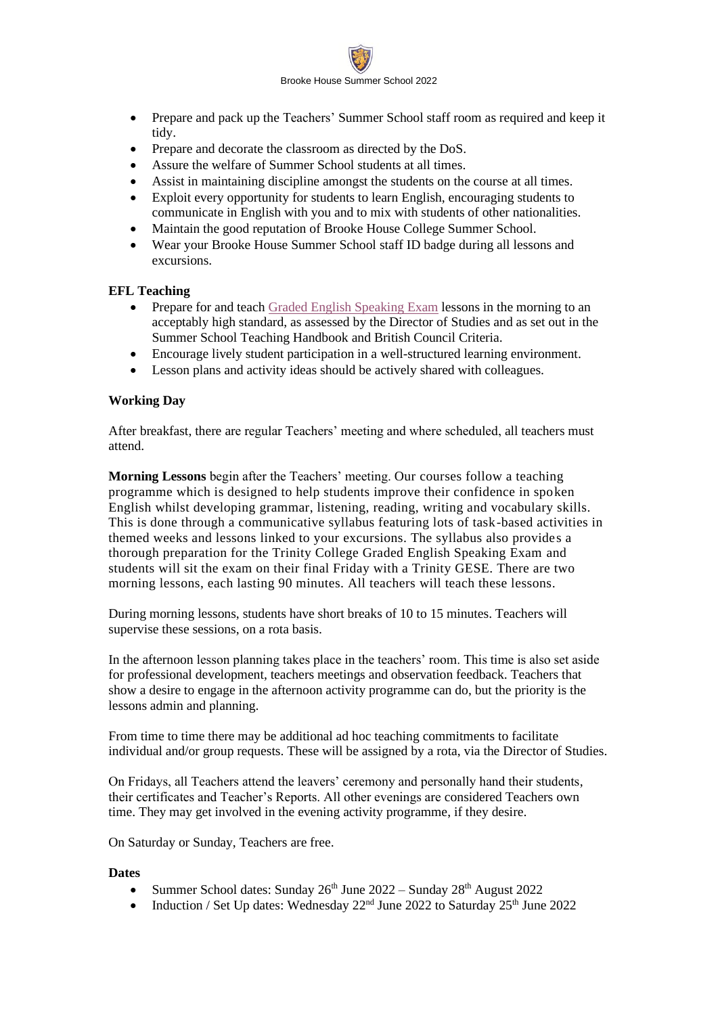

- Prepare and pack up the Teachers' Summer School staff room as required and keep it tidy.
- Prepare and decorate the classroom as directed by the DoS.
- Assure the welfare of Summer School students at all times.
- Assist in maintaining discipline amongst the students on the course at all times.
- Exploit every opportunity for students to learn English, encouraging students to communicate in English with you and to mix with students of other nationalities.
- Maintain the good reputation of Brooke House College Summer School.
- Wear your Brooke House Summer School staff ID badge during all lessons and excursions.

#### **EFL Teaching**

- Prepare for and teach [Graded English Speaking Exam](https://www.trinitycollege.com/site/?id=368) lessons in the morning to an acceptably high standard, as assessed by the Director of Studies and as set out in the Summer School Teaching Handbook and British Council Criteria.
- Encourage lively student participation in a well-structured learning environment.
- Lesson plans and activity ideas should be actively shared with colleagues.

## **Working Day**

After breakfast, there are regular Teachers' meeting and where scheduled, all teachers must attend.

**Morning Lessons** begin after the Teachers' meeting. Our courses follow a teaching programme which is designed to help students improve their confidence in spoken English whilst developing grammar, listening, reading, writing and vocabulary skills. This is done through a communicative syllabus featuring lots of task-based activities in themed weeks and lessons linked to your excursions. The syllabus also provides a thorough preparation for the Trinity College Graded English Speaking Exam and students will sit the exam on their final Friday with a Trinity GESE. There are two morning lessons, each lasting 90 minutes. All teachers will teach these lessons.

During morning lessons, students have short breaks of 10 to 15 minutes. Teachers will supervise these sessions, on a rota basis.

In the afternoon lesson planning takes place in the teachers' room. This time is also set aside for professional development, teachers meetings and observation feedback. Teachers that show a desire to engage in the afternoon activity programme can do, but the priority is the lessons admin and planning.

From time to time there may be additional ad hoc teaching commitments to facilitate individual and/or group requests. These will be assigned by a rota, via the Director of Studies.

On Fridays, all Teachers attend the leavers' ceremony and personally hand their students, their certificates and Teacher's Reports. All other evenings are considered Teachers own time. They may get involved in the evening activity programme, if they desire.

On Saturday or Sunday, Teachers are free.

#### **Dates**

- Summer School dates: Sunday  $26<sup>th</sup>$  June  $2022 -$  Sunday  $28<sup>th</sup>$  August  $2022$
- Induction / Set Up dates: Wednesday  $22<sup>nd</sup>$  June  $2022$  to Saturday  $25<sup>th</sup>$  June  $2022$